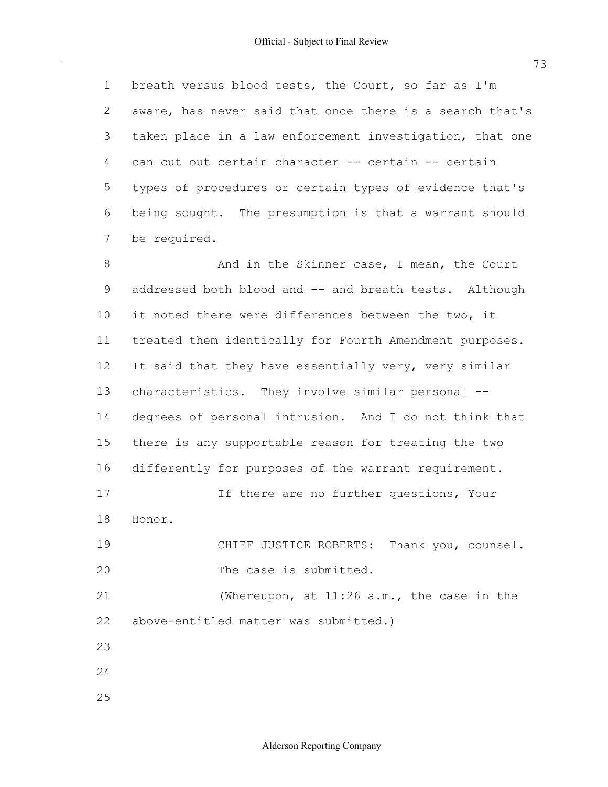1 breath versus blood tests, the Court, so far as I'm 2 aware, has never said that once there is a search that's 3 taken place in a law enforcement investigation, that one 4 can cut out certain character -- certain -- certain 5 types of procedures or certain types of evidence that's 6 being sought. The presumption is that a warrant should 7 be required.

8 And in the Skinner case, I mean, the Court 9 addressed both blood and -- and breath tests. Although 10 it noted there were differences between the two, it 11 treated them identically for Fourth Amendment purposes. 12 It said that they have essentially very, very similar 13 characteristics. They involve similar personal -- 14 degrees of personal intrusion. And I do not think that 15 there is any supportable reason for treating the two 16 differently for purposes of the warrant requirement. 17 17 If there are no further questions, Your 19 CHIEF JUSTICE ROBERTS: Thank you, counsel. 20 The case is submitted. 21 (Whereupon, at 11:26 a.m., the case in the 22 above-entitled matter was submitted.) 18 Honor. 23 24

25

73

Alderson Reporting Company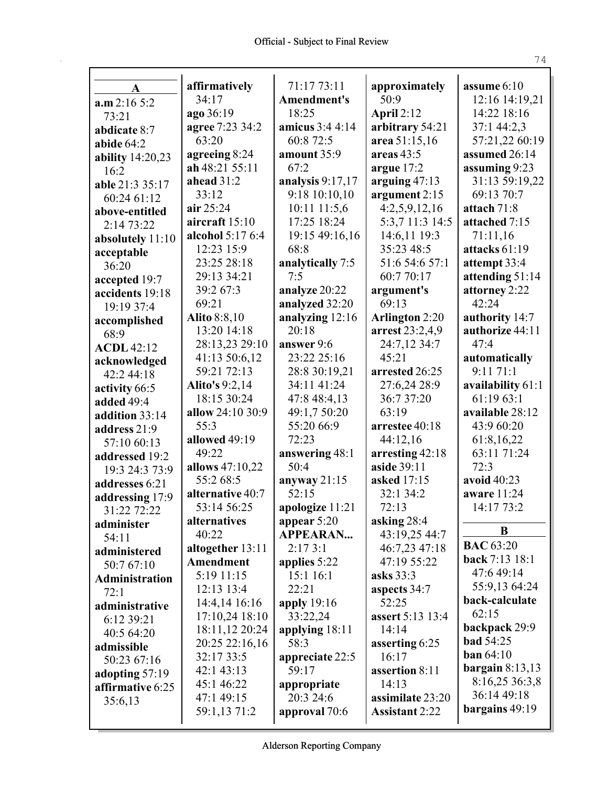|                                | affirmatively         | 71:17 73:11        | approximately         | assume $6:10$     |
|--------------------------------|-----------------------|--------------------|-----------------------|-------------------|
| A                              | 34:17                 | <b>Amendment's</b> | 50:9                  | 12:16 14:19,21    |
| a.m 2:16 5:2                   | ago 36:19             | 18:25              | April $2:12$          | 14:22 18:16       |
| 73:21                          | agree 7:23 34:2       | amicus 3:4 4:14    | arbitrary 54:21       | 37:1 44:2,3       |
| abdicate 8:7                   | 63:20                 | 60:8 72:5          | area 51:15,16         | 57:21,22 60:19    |
| abide $64:2$                   | agreeing 8:24         | amount 35:9        | areas $43:5$          | assumed 26:14     |
| <b>ability</b> 14:20,23        | ah 48:21 55:11        | 67:2               | argue $17:2$          | assuming 9:23     |
| 16:2                           | ahead $31:2$          | analysis $9:17,17$ | arguing $47:13$       | 31:13 59:19,22    |
| able 21:3 35:17                | 33:12                 | 9:18 10:10,10      | argument 2:15         | 69:13 70:7        |
| 60:24 61:12                    | air $25:24$           | 10:11 11:5,6       | 4:2,5,9,12,16         | attach 71:8       |
| above-entitled                 | aircraft 15:10        | 17:25 18:24        | 5:3,7 11:3 14:5       | attached 7:15     |
| 2:14 73:22                     | alcohol 5:17 6:4      | 19:15 49:16,16     | 14:6,11 19:3          | 71:11,16          |
| absolutely 11:10               | 12:23 15:9            | 68:8               | 35:23 48:5            | attacks 61:19     |
| acceptable                     | 23:25 28:18           | analytically 7:5   | 51:6 54:6 57:1        | attempt 33:4      |
| 36:20                          | 29:13 34:21           | 7:5                | 60:7 70:17            | attending 51:14   |
| accepted 19:7                  | 39:2 67:3             | analyze 20:22      | argument's            | attorney 2:22     |
| accidents 19:18                | 69:21                 | analyzed 32:20     | 69:13                 | 42:24             |
| 19:19 37:4                     | <b>Alito</b> 8:8,10   | analyzing 12:16    | <b>Arlington 2:20</b> | authority 14:7    |
| accomplished                   | 13:20 14:18           | 20:18              | arrest 23:2,4,9       | authorize 44:11   |
| 68:9                           | 28:13,23 29:10        | answer 9:6         | 24:7,12 34:7          | 47:4              |
| <b>ACDL</b> 42:12              | 41:13 50:6,12         | 23:22 25:16        | 45:21                 | automatically     |
| acknowledged                   | 59:21 72:13           | 28:8 30:19,21      | arrested 26:25        | 9:1171:1          |
| 42:2 44:18                     | <b>Alito's 9:2,14</b> | 34:11 41:24        | 27:6,24 28:9          | availability 61:1 |
| activity 66:5                  | 18:15 30:24           | 47:8 48:4,13       | 36:7 37:20            | 61:19 63:1        |
| added 49:4                     | allow 24:10 30:9      | 49:1,7 50:20       | 63:19                 | available 28:12   |
| addition 33:14                 | 55:3                  | 55:20 66:9         | arrestee 40:18        | 43:9 60:20        |
| address 21:9                   | allowed 49:19         | 72:23              | 44:12,16              | 61:8,16,22        |
| 57:10 60:13                    | 49:22                 | answering 48:1     | arresting 42:18       | 63:11 71:24       |
| addressed 19:2                 | allows 47:10,22       | 50:4               | aside 39:11           | 72:3              |
| 19:3 24:3 73:9                 | 55:2 68:5             | anyway $21:15$     | asked 17:15           | avoid 40:23       |
| addresses 6:21                 | alternative 40:7      | 52:15              | 32:1 34:2             | aware 11:24       |
| addressing 17:9<br>31:22 72:22 | 53:14 56:25           | apologize 11:21    | 72:13                 | 14:17 73:2        |
| administer                     | alternatives          | appear 5:20        | asking 28:4           |                   |
| 54:11                          | 40:22                 | <b>APPEARAN</b>    | 43:19,25 44:7         | B                 |
| administered                   | altogether $13:11$    | 2:173:1            | 46:7,23 47:18         | <b>BAC</b> 63:20  |
| 50:7 67:10                     | Amendment             | applies 5:22       | 47:19 55:22           | back 7:13 18:1    |
| <b>Administration</b>          | 5:19 11:15            | 15:1 16:1          | asks 33:3             | 47:6 49:14        |
| 72:1                           | 12:13 13:4            | 22:21              | aspects 34:7          | 55:9,13 64:24     |
| administrative                 | 14:4,14 16:16         | apply $19:16$      | 52:25                 | back-calculate    |
| 6:12 39:21                     | $17:10,24$ 18:10      | 33:22,24           | assert 5:13 13:4      | 62:15             |
| 40:5 64:20                     | 18:11,12 20:24        | applying $18:11$   | 14:14                 | backpack 29:9     |
| admissible                     | 20:25 22:16,16        | 58:3               | asserting 6:25        | <b>bad</b> 54:25  |
| 50:23 67:16                    | 32:17 33:5            | appreciate 22:5    | 16:17                 | ban 64:10         |
| adopting 57:19                 | 42:1 43:13            | 59:17              | assertion 8:11        | bargain $8:13,13$ |
| affirmative 6:25               | 45:1 46:22            | appropriate        | 14:13                 | 8:16,25 36:3,8    |
| 35:6,13                        | 47:1 49:15            | 20:3 24:6          | assimilate 23:20      | 36:14 49:18       |
|                                | 59:1,13 71:2          | approval 70:6      | <b>Assistant 2:22</b> | bargains 49:19    |
|                                |                       |                    |                       |                   |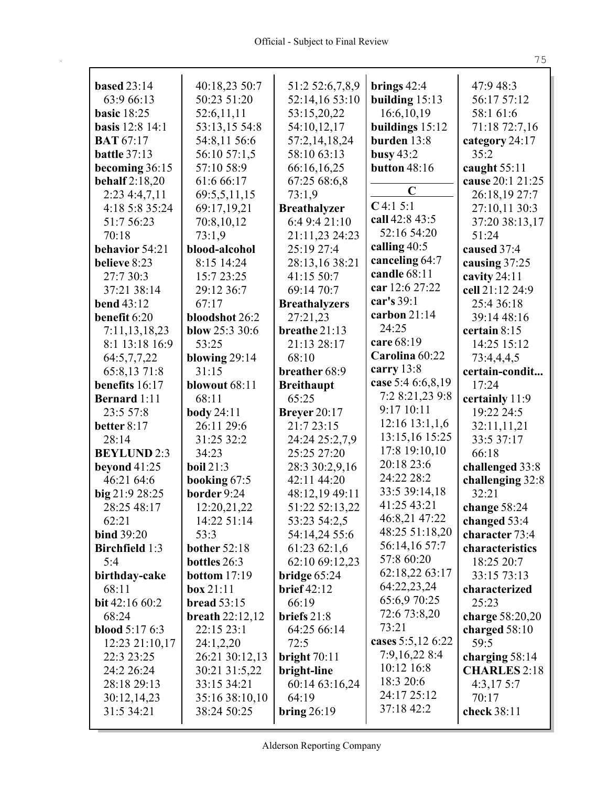| <b>based 23:14</b>        | 40:18,23 50:7                 | 51:2 52:6,7,8,9           | brings $42:4$                 | 47:9 48:3            |
|---------------------------|-------------------------------|---------------------------|-------------------------------|----------------------|
| 63:9 66:13                | 50:23 51:20                   | 52:14,16 53:10            | building $15:13$              | 56:17 57:12          |
| <b>basic</b> 18:25        | 52:6,11,11                    | 53:15,20,22               | 16:6,10,19                    | 58:1 61:6            |
| <b>basis</b> 12:8 14:1    | 53:13,15 54:8                 | 54:10,12,17               | buildings $15:12$             | 71:18 72:7,16        |
| <b>BAT 67:17</b>          | 54:8,11 56:6                  | 57:2,14,18,24             | burden 13:8                   | category 24:17       |
| battle 37:13              | 56:10 57:1,5                  | 58:10 63:13               | busy $43:2$                   | 35:2                 |
| becoming 36:15            | 57:10 58:9                    | 66:16,16,25               | <b>button</b> 48:16           | caught $55:11$       |
| <b>behalf</b> 2:18,20     | 61:6 66:17                    | 67:25 68:6,8              |                               | cause 20:1 21:25     |
| 2:23 4:4,7,11             | 69:5,5,11,15                  | 73:1,9                    | $\mathbf C$                   | 26:18,19 27:7        |
| 4:18 5:8 35:24            | 69:17,19,21                   | <b>Breathalyzer</b>       | $C$ 4:1 5:1                   | 27:10,11 30:3        |
| 51:7 56:23                | 70:8,10,12                    | 6:4 9:4 21:10             | call 42:8 43:5                | 37:20 38:13,17       |
| 70:18                     | 73:1,9                        | 21:11,23 24:23            | 52:16 54:20                   | 51:24                |
| behavior 54:21            | blood-alcohol                 | 25:19 27:4                | calling 40:5                  | caused 37:4          |
| believe 8:23              | 8:15 14:24                    | 28:13,16 38:21            | canceling 64:7                | causing 37:25        |
| 27:7 30:3                 | 15:7 23:25                    | 41:15 50:7                | candle 68:11                  | cavity 24:11         |
| 37:21 38:14               | 29:12 36:7                    | 69:14 70:7                | car 12:6 27:22                | cell 21:12 24:9      |
| <b>bend 43:12</b>         | 67:17                         | <b>Breathalyzers</b>      | car's 39:1                    | 25:4 36:18           |
| benefit 6:20              | bloodshot 26:2                |                           | carbon 21:14                  | 39:14 48:16          |
|                           |                               | 27:21,23<br>breathe 21:13 | 24:25                         |                      |
| 7:11,13,18,23             | blow 25:3 30:6                |                           | care 68:19                    | certain 8:15         |
| 8:1 13:18 16:9            | 53:25                         | 21:13 28:17               | Carolina 60:22                | 14:25 15:12          |
| 64:5,7,7,22               | blowing $29:14$               | 68:10                     | carry 13:8                    | 73:4,4,4,5           |
| 65:8,13 71:8              | 31:15                         | breather 68:9             | case 5:4 6:6,8,19             | certain-condit       |
| benefits 16:17            | blowout 68:11                 | <b>Breithaupt</b>         |                               | 17:24                |
| <b>Bernard</b> 1:11       | 68:11                         | 65:25                     | 7:2 8:21,23 9:8<br>9:17 10:11 | certainly 11:9       |
| 23:5 57:8                 | <b>body</b> 24:11             | <b>Breyer</b> 20:17       |                               | 19:22 24:5           |
| better 8:17               | 26:11 29:6                    | 21:7 23:15                | 12:16 13:1,1,6                | 32:11,11,21          |
| 28:14                     | 31:25 32:2                    | 24:24 25:2,7,9            | 13:15,16 15:25                | 33:5 37:17           |
| <b>BEYLUND 2:3</b>        | 34:23                         | 25:25 27:20               | 17:8 19:10,10                 | 66:18                |
| beyond 41:25              | <b>boil</b> 21:3              | 28:3 30:2,9,16            | 20:18 23:6                    | challenged 33:8      |
| 46:21 64:6                | booking 67:5                  | 42:11 44:20               | 24:22 28:2                    | challenging 32:8     |
| big 21:9 28:25            | border 9:24                   | 48:12,19 49:11            | 33:5 39:14,18                 | 32:21                |
| 28:25 48:17               | 12:20,21,22                   | 51:22 52:13,22            | 41:25 43:21                   | change $58:24$       |
| 62:21                     | 14:22 51:14                   | 53:23 54:2,5              | 46:8,21 47:22                 | changed 53:4         |
| <b>bind 39:20</b>         | 53:3                          | 54:14,24 55:6             | 48:25 51:18,20                | character 73:4       |
| <b>Birchfield</b> 1:3     | <b>bother 52:18</b>           | 61:23 62:1,6              | 56:14,16 57:7                 | characteristics      |
| 5:4                       | bottles 26:3                  | 62:10 69:12,23            | 57:8 60:20                    | 18:25 20:7           |
| birthday-cake             | <b>bottom</b> $17:19$         | bridge $65:24$            | 62:18,22 63:17                | 33:15 73:13          |
| 68:11                     | box 21:11                     | <b>brief</b> 42:12        | 64:22,23,24                   | characterized        |
| bit 42:16 60:2            | <b>bread</b> 53:15            | 66:19                     | 65:6,9 70:25                  | 25:23                |
| 68:24                     | breath $22:12,12$             | briefs 21:8               | 72:6 73:8,20                  | charge 58:20,20      |
| <b>blood</b> $5:176:3$    | 22:15 23:1                    | 64:25 66:14               | 73:21                         | charged $58:10$      |
| 12:23 21:10,17            | 24:1,2,20                     | 72:5                      | cases 5:5,12 6:22             | 59:5                 |
| 22:3 23:25                | 26:21 30:12,13                | bright $70:11$            | 7:9,16,22 8:4                 | charging 58:14       |
| 24:2 26:24                | 30:21 31:5,22                 | bright-line               | 10:12 16:8                    | <b>CHARLES</b> 2:18  |
| 28:18 29:13               |                               |                           | 18:3 20:6                     | 4:3,17.5:7           |
|                           |                               |                           |                               |                      |
|                           | 33:15 34:21                   | 60:14 63:16,24            |                               |                      |
| 30:12,14,23<br>31:5 34:21 | 35:16 38:10,10<br>38:24 50:25 | 64:19<br>bring $26:19$    | 24:17 25:12<br>37:18 42:2     | 70:17<br>check 38:11 |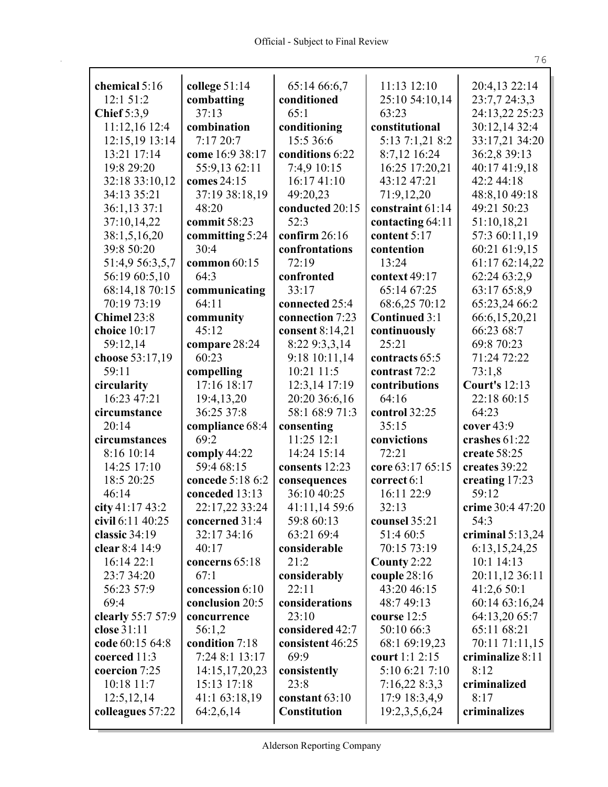| chemical 5:16                 | college 51:14           | 65:14 66:6,7            | 11:13 12:10          | 20:4,13 22:14                 |
|-------------------------------|-------------------------|-------------------------|----------------------|-------------------------------|
| 12:1 51:2                     | combatting              | conditioned             | 25:10 54:10,14       | 23:7,7 24:3,3                 |
| <b>Chief</b> 5:3,9            | 37:13                   | 65:1                    | 63:23                | 24:13,22 25:23                |
| 11:12,16 12:4                 | combination             | conditioning            | constitutional       | 30:12,14 32:4                 |
| 12:15,19 13:14                | 7:1720:7                | 15:5 36:6               | 5:13 7:1,21 8:2      | 33:17,21 34:20                |
| 13:21 17:14                   | come 16:9 38:17         | conditions 6:22         | 8:7,12 16:24         | 36:2,8 39:13                  |
| 19:8 29:20                    | 55:9,13 62:11           | 7:4,9 10:15             | 16:25 17:20,21       | 40:17 41:9,18                 |
| 32:18 33:10,12                | comes 24:15             | 16:17 41:10             | 43:12 47:21          | 42:2 44:18                    |
| 34:13 35:21                   | 37:19 38:18,19          | 49:20,23                | 71:9,12,20           | 48:8,10 49:18                 |
| 36:1,13 37:1                  | 48:20                   | conducted 20:15         | constraint 61:14     | 49:21 50:23                   |
| 37:10,14,22                   | commit 58:23            | 52:3                    | contacting 64:11     | 51:10,18,21                   |
| 38:1,5,16,20                  |                         | confirm $26:16$         | content 5:17         | 57:3 60:11,19                 |
| 39:8 50:20                    | committing 5:24<br>30:4 | confrontations          | contention           | 60:21 61:9,15                 |
| 51:4,9 56:3,5,7               | common 60:15            | 72:19                   | 13:24                | 61:17 62:14,22                |
| 56:19 60:5,10                 | 64:3                    | confronted              | context 49:17        | 62:24 63:2,9                  |
|                               |                         |                         |                      |                               |
| 68:14,18 70:15<br>70:19 73:19 | communicating<br>64:11  | 33:17<br>connected 25:4 | 65:14 67:25          | 63:17 65:8,9<br>65:23,24 66:2 |
|                               |                         |                         | 68:6,25 70:12        |                               |
| Chimel 23:8                   | community               | connection 7:23         | <b>Continued 3:1</b> | 66:6,15,20,21                 |
| choice 10:17                  | 45:12                   | consent 8:14,21         | continuously         | 66:23 68:7                    |
| 59:12,14                      | compare 28:24<br>60:23  | 8:22 9:3,3,14           | 25:21                | 69:8 70:23<br>71:24 72:22     |
| choose 53:17,19               |                         | 9:18 10:11,14           | contracts 65:5       |                               |
| 59:11                         | compelling              | 10:21 11:5              | contrast 72:2        | 73:1,8                        |
| circularity                   | 17:16 18:17             | 12:3,14 17:19           | contributions        | <b>Court's 12:13</b>          |
| 16:23 47:21                   | 19:4, 13, 20            | 20:20 36:6,16           | 64:16                | 22:18 60:15                   |
| circumstance                  | 36:25 37:8              | 58:1 68:9 71:3          | control 32:25        | 64:23                         |
| 20:14                         | compliance 68:4         | consenting              | 35:15                | cover 43:9                    |
| circumstances                 | 69:2                    | 11:25 12:1              | convictions          | crashes 61:22                 |
| 8:16 10:14                    | comply 44:22            | 14:24 15:14             | 72:21                | create 58:25                  |
| 14:25 17:10                   | 59:4 68:15              | consents 12:23          | core 63:17 65:15     | creates 39:22                 |
| 18:5 20:25                    | concede 5:18 6:2        | consequences            | correct 6:1          | creating 17:23                |
| 46:14                         | conceded 13:13          | 36:10 40:25             | 16:11 22:9           | 59:12                         |
| city $41:17\,43:2$            | 22:17,22 33:24          | 41:11,14 59:6           | 32:13                | crime 30:4 47:20              |
| civil 6:11 40:25              | concerned 31:4          | 59:8 60:13              | counsel 35:21        | 54:3                          |
| classic 34:19                 | 32:17 34:16             | 63:21 69:4              | 51:4 60:5            | criminal $5:13,24$            |
| clear 8:4 14:9                | 40:17                   | considerable            | 70:15 73:19          | 6:13,15,24,25                 |
| 16:14 22:1                    | concerns 65:18          | 21:2                    | County $2:22$        | $10:1$ 14:13                  |
| 23:7 34:20                    | 67:1                    | considerably            | couple $28:16$       | 20:11,12 36:11                |
| 56:23 57:9                    | concession 6:10         | 22:11                   | 43:20 46:15          | 41:2,6 50:1                   |
| 69:4                          | conclusion 20:5         | considerations          | 48:7 49:13           | 60:14 63:16,24                |
| clearly 55:7 57:9             | concurrence             | 23:10                   | course $12:5$        | 64:13,20 65:7                 |
| close 31:11                   | 56:1,2                  | considered 42:7         | 50:10 66:3           | 65:11 68:21                   |
| code 60:15 64:8               | condition 7:18          | consistent 46:25        | 68:1 69:19,23        | 70:11 71:11,15                |
| coerced 11:3                  | 7:24 8:1 13:17          | 69:9                    | court 1:1 2:15       | criminalize 8:11              |
| coercion 7:25                 | 14:15, 17, 20, 23       | consistently            | 5:10 6:21 7:10       | 8:12                          |
| 10:18 11:7                    | 15:13 17:18             | 23:8                    | 7:16,228:3,3         | criminalized                  |
| 12:5,12,14                    | 41:1 63:18,19           | constant 63:10          | 17:9 18:3,4,9        | 8:17                          |
| colleagues 57:22              | 64:2,6,14               | <b>Constitution</b>     | 19:2,3,5,6,24        | criminalizes                  |
|                               |                         |                         |                      |                               |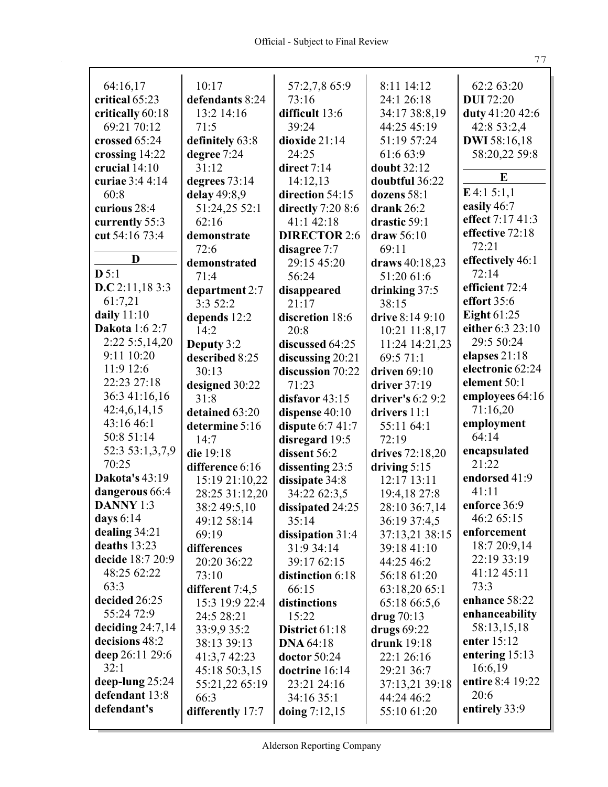| 64:16,17              | 10:17            | 57:2,7,8 65:9       | 8:11 14:12        | 62:2 63:20          |
|-----------------------|------------------|---------------------|-------------------|---------------------|
| critical 65:23        | defendants 8:24  | 73:16               | 24:1 26:18        | <b>DUI</b> 72:20    |
| critically 60:18      | 13:2 14:16       | difficult 13:6      | 34:17 38:8,19     | duty 41:20 42:6     |
| 69:21 70:12           | 71:5             | 39:24               | 44:25 45:19       | 42:8 53:2,4         |
| crossed 65:24         | definitely 63:8  | dioxide 21:14       | 51:19 57:24       | <b>DWI</b> 58:16,18 |
| crossing 14:22        | degree 7:24      | 24:25               | 61:6 63:9         | 58:20,22 59:8       |
| crucial $14:10$       | 31:12            | direct $7:14$       | doubt 32:12       | E                   |
| curiae 3:4 4:14       | degrees 73:14    | 14:12,13            | doubtful 36:22    |                     |
| 60:8                  | delay 49:8,9     | direction 54:15     | dozens 58:1       | $E$ 4:1 5:1,1       |
| curious 28:4          | 51:24,25 52:1    | directly $7:208:6$  | drank $26:2$      | easily 46:7         |
| currently 55:3        | 62:16            | 41:1 42:18          | drastic 59:1      | effect 7:17 41:3    |
| cut 54:16 73:4        | demonstrate      | <b>DIRECTOR 2:6</b> | draw 56:10        | effective 72:18     |
|                       | 72:6             | disagree 7:7        | 69:11             | 72:21               |
| D                     | demonstrated     | 29:15 45:20         | draws 40:18,23    | effectively 46:1    |
| D 5:1                 | 71:4             | 56:24               | 51:20 61:6        | 72:14               |
| D.C.2:11,18.3:3       | department 2:7   | disappeared         | drinking 37:5     | efficient 72:4      |
| 61:7,21               | 3:352:2          | 21:17               | 38:15             | effort 35:6         |
| daily $11:10$         | depends 12:2     | discretion 18:6     | drive 8:14 9:10   | Eight $61:25$       |
| <b>Dakota</b> 1:6 2:7 | 14:2             | 20:8                | 10:21 11:8,17     | either 6:3 23:10    |
| 2:22 5:5,14,20        | Deputy 3:2       | discussed 64:25     | 11:24 14:21,23    | 29:5 50:24          |
| 9:11 10:20            | described 8:25   | discussing 20:21    | 69:5 71:1         | elapses $21:18$     |
| 11:9 12:6             | 30:13            | discussion 70:22    | driven $69:10$    | electronic 62:24    |
| 22:23 27:18           | designed 30:22   | 71:23               | driver $37:19$    | element 50:1        |
| 36:3 41:16,16         | 31:8             | disfavor 43:15      | driver's $6:29:2$ | employees 64:16     |
| 42:4,6,14,15          | detained 63:20   | dispense 40:10      | drivers $11:1$    | 71:16,20            |
| 43:16 46:1            | determine 5:16   | dispute $6:741:7$   | 55:11 64:1        | employment          |
| 50:8 51:14            | 14:7             | disregard 19:5      | 72:19             | 64:14               |
| 52:3 53:1,3,7,9       | die 19:18        | dissent 56:2        | drives 72:18,20   | encapsulated        |
| 70:25                 | difference 6:16  | dissenting 23:5     | driving $5:15$    | 21:22               |
| Dakota's 43:19        | 15:19 21:10,22   | dissipate 34:8      | 12:17 13:11       | endorsed 41:9       |
| dangerous 66:4        | 28:25 31:12,20   | 34:22 62:3,5        | 19:4,18 27:8      | 41:11               |
| <b>DANNY 1:3</b>      | 38:2 49:5,10     | dissipated 24:25    | 28:10 36:7,14     | enforce 36:9        |
| days $6:14$           | 49:12 58:14      | 35:14               | 36:19 37:4,5      | 46:2 65:15          |
| dealing $34:21$       | 69:19            | dissipation 31:4    | 37:13,21 38:15    | enforcement         |
| deaths 13:23          | differences      | 31:9 34:14          | 39:18 41:10       | 18:7 20:9,14        |
| decide 18:7 20:9      | 20:20 36:22      | 39:17 62:15         | 44:25 46:2        | 22:19 33:19         |
| 48:25 62:22           | 73:10            | distinction 6:18    | 56:18 61:20       | 41:12 45:11         |
| 63:3                  | different 7:4,5  | 66:15               | 63:18,20 65:1     | 73:3                |
| decided 26:25         | 15:3 19:9 22:4   | distinctions        | 65:18 66:5,6      | enhance 58:22       |
| 55:24 72:9            | 24:5 28:21       | 15:22               | drug $70:13$      | enhanceability      |
| deciding $24:7,14$    | 33:9,9 35:2      | District 61:18      | drugs $69:22$     | 58:13,15,18         |
| decisions 48:2        | 38:13 39:13      | <b>DNA 64:18</b>    | drunk 19:18       | enter $15:12$       |
| deep 26:11 29:6       | 41:3,7 42:23     | doctor $50:24$      | 22:1 26:16        | entering 15:13      |
| 32:1                  | 45:18 50:3,15    | doctrine 16:14      | 29:21 36:7        | 16:6,19             |
| deep-lung $25:24$     | 55:21,22 65:19   | 23:21 24:16         | 37:13,21 39:18    | entire 8:4 19:22    |
| defendant 13:8        | 66:3             | 34:16 35:1          | 44:24 46:2        | 20:6                |
| defendant's           | differently 17:7 | doing $7:12,15$     | 55:10 61:20       | entirely 33:9       |
|                       |                  |                     |                   |                     |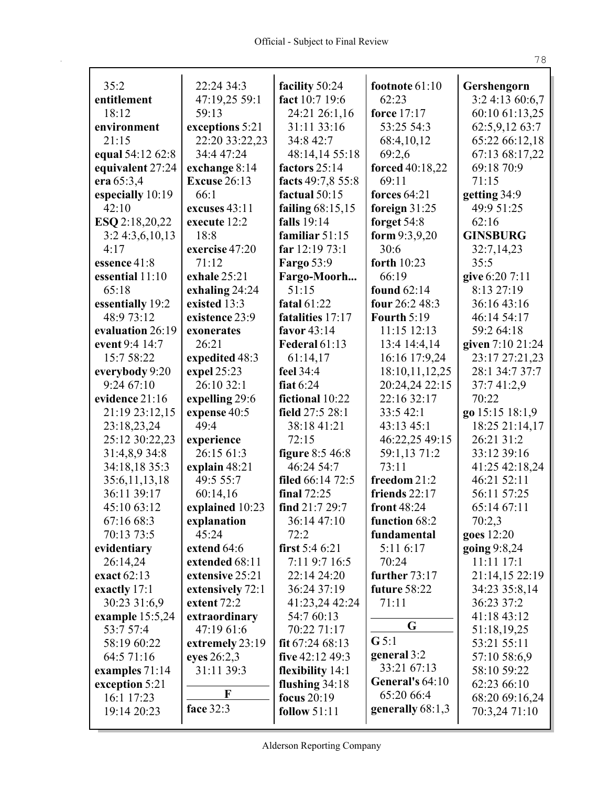| 35:2              | 22:24 34:3          | facility 50:24       | footnote $61:10$   | Gershengorn      |
|-------------------|---------------------|----------------------|--------------------|------------------|
| entitlement       | 47:19,25 59:1       | fact 10:7 19:6       | 62:23              | 3:2 4:13 60:6,7  |
| 18:12             | 59:13               | 24:21 26:1,16        | force 17:17        | 60:10 61:13,25   |
| environment       | exceptions 5:21     | 31:11 33:16          | 53:25 54:3         | 62:5,9,12 63:7   |
| 21:15             | 22:20 33:22,23      | 34:8 42:7            | 68:4,10,12         | 65:22 66:12,18   |
| equal 54:12 62:8  | 34:4 47:24          | 48:14,14 55:18       | 69:2,6             | 67:13 68:17,22   |
| equivalent 27:24  | exchange 8:14       | factors 25:14        | forced 40:18,22    | 69:18 70:9       |
| era 65:3,4        | <b>Excuse 26:13</b> | facts 49:7,8 55:8    | 69:11              | 71:15            |
| especially 10:19  | 66:1                | factual 50:15        | forces $64:21$     | getting 34:9     |
| 42:10             | excuses 43:11       | failing $68:15,15$   | foreign $31:25$    | 49:9 51:25       |
| ESQ 2:18,20,22    | execute 12:2        | <b>falls</b> 19:14   | forget 54:8        | 62:16            |
| 3:24:3,6,10,13    | 18:8                | familiar $51:15$     | form $9:3,9,20$    | <b>GINSBURG</b>  |
| 4:17              | exercise 47:20      | far $12:1973:1$      | 30:6               | 32:7,14,23       |
| essence 41:8      | 71:12               | <b>Fargo 53:9</b>    | forth $10:23$      | 35:5             |
| essential 11:10   | exhale 25:21        | Fargo-Moorh          | 66:19              | give 6:20 7:11   |
| 65:18             | exhaling 24:24      | 51:15                | <b>found 62:14</b> | 8:13 27:19       |
| essentially 19:2  | existed 13:3        | fatal $61:22$        | four 26:2 48:3     | 36:16 43:16      |
| 48:9 73:12        | existence 23:9      | fatalities 17:17     | <b>Fourth 5:19</b> | 46:14 54:17      |
| evaluation 26:19  | exonerates          | favor 43:14          | 11:15 12:13        | 59:2 64:18       |
| event 9:4 14:7    | 26:21               | <b>Federal 61:13</b> | 13:4 14:4,14       | given 7:10 21:24 |
| 15:7 58:22        | expedited 48:3      | 61:14,17             | 16:16 17:9,24      | 23:17 27:21,23   |
| everybody 9:20    | expel 25:23         | feel 34:4            | 18:10,11,12,25     | 28:1 34:7 37:7   |
| 9:2467:10         | 26:10 32:1          | fiat $6:24$          | 20:24,24 22:15     | 37:741:2,9       |
| evidence 21:16    | expelling 29:6      | fictional 10:22      | 22:16 32:17        | 70:22            |
| 21:19 23:12,15    | expense 40:5        | field 27:5 28:1      | 33:5 42:1          | go 15:15 18:1,9  |
| 23:18,23,24       | 49:4                | 38:18 41:21          | 43:13 45:1         | 18:25 21:14,17   |
| 25:12 30:22,23    | experience          | 72:15                | 46:22,25 49:15     | 26:21 31:2       |
| 31:4,8,9 34:8     | 26:15 61:3          | figure 8:5 46:8      | 59:1,13 71:2       | 33:12 39:16      |
| 34:18,18 35:3     | explain 48:21       | 46:24 54:7           | 73:11              | 41:25 42:18,24   |
| 35:6,11,13,18     | 49:5 55:7           | filed 66:14 72:5     | freedom 21:2       | 46:21 52:11      |
| 36:11 39:17       | 60:14,16            | final $72:25$        | friends $22:17$    | 56:11 57:25      |
| 45:10 63:12       | explained 10:23     | find 21:7 29:7       | front 48:24        | 65:14 67:11      |
| 67:16 68:3        | explanation         | 36:14 47:10          | function 68:2      | 70:2,3           |
| 70:13 73:5        | 45:24               | 72:2                 | fundamental        | goes 12:20       |
| evidentiary       | extend 64:6         | first $5:46:21$      | 5:11 6:17          | going 9:8,24     |
| 26:14,24          | extended 68:11      | 7:11 9:7 16:5        | 70:24              | 11:11 17:1       |
| exact 62:13       | extensive 25:21     | 22:14 24:20          | further $73:17$    | 21:14,15 22:19   |
| exactly 17:1      | extensively 72:1    | 36:24 37:19          | future 58:22       | 34:23 35:8,14    |
| 30:23 31:6,9      | extent $72:2$       | 41:23,24 42:24       | 71:11              | 36:23 37:2       |
| example $15:5,24$ | extraordinary       | 54:7 60:13           | G                  | 41:18 43:12      |
| 53:7 57:4         | 47:19 61:6          | 70:22 71:17          | G 5:1              | 51:18,19,25      |
| 58:19 60:22       | extremely 23:19     | fit $67:2468:13$     | general 3:2        | 53:21 55:11      |
| 64:5 71:16        | eyes 26:2,3         | five 42:12 49:3      | 33:21 67:13        | 57:10 58:6,9     |
| examples 71:14    | 31:11 39:3          | flexibility 14:1     | General's $64:10$  | 58:10 59:22      |
| exception 5:21    | $\mathbf F$         | flushing $34:18$     | 65:20 66:4         | 62:23 66:10      |
| 16:1 17:23        | face 32:3           | focus $20:19$        | generally 68:1,3   | 68:20 69:16,24   |
| 19:14 20:23       |                     | follow $51:11$       |                    | 70:3,24 71:10    |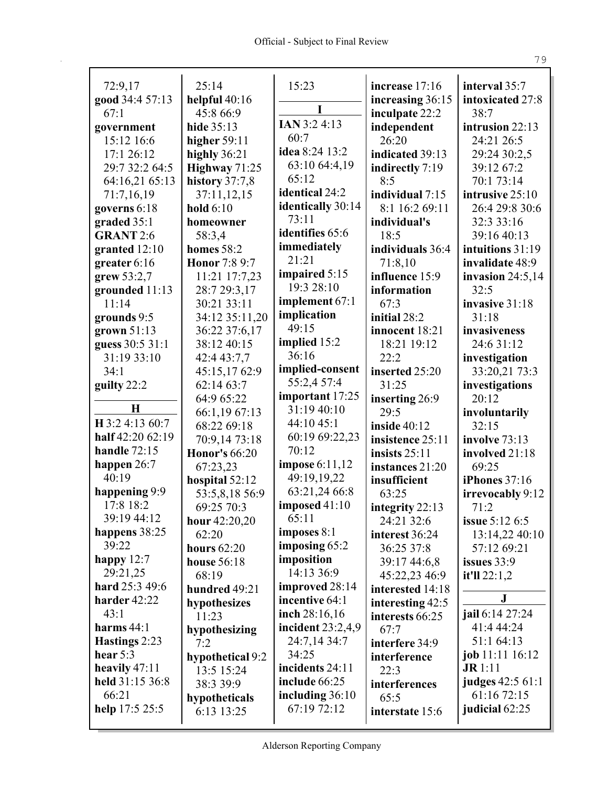| 72:9,17          | 25:14                | 15:23               | increase 17:16   | interval 35:7         |
|------------------|----------------------|---------------------|------------------|-----------------------|
| good 34:4 57:13  | helpful $40:16$      |                     | increasing 36:15 | intoxicated 27:8      |
| 67:1             | 45:8 66:9            | I                   | inculpate 22:2   | 38:7                  |
| government       | hide 35:13           | IAN 3:2 4:13        | independent      | intrusion 22:13       |
| 15:12 16:6       | higher $59:11$       | 60:7                | 26:20            | 24:21 26:5            |
| 17:1 26:12       | highly 36:21         | idea 8:24 13:2      | indicated 39:13  | 29:24 30:2,5          |
| 29:7 32:2 64:5   | Highway 71:25        | 63:10 64:4,19       | indirectly 7:19  | 39:12 67:2            |
| 64:16,21 65:13   | history 37:7,8       | 65:12               | 8:5              | 70:1 73:14            |
| 71:7,16,19       | 37:11,12,15          | identical 24:2      | individual 7:15  | intrusive 25:10       |
| governs 6:18     | hold $6:10$          | identically 30:14   | 8:1 16:2 69:11   | 26:4 29:8 30:6        |
| graded 35:1      | homeowner            | 73:11               | individual's     | 32:3 33:16            |
| <b>GRANT 2:6</b> | 58:3,4               | identifies 65:6     | 18:5             | 39:16 40:13           |
| granted $12:10$  | <b>homes</b> 58:2    | immediately         | individuals 36:4 | intuitions 31:19      |
| greater $6:16$   | Honor 7:8 9:7        | 21:21               | 71:8,10          | invalidate 48:9       |
| grew $53:2,7$    | 11:21 17:7,23        | impaired 5:15       | influence 15:9   | invasion $24:5,14$    |
| grounded 11:13   | 28:7 29:3,17         | 19:3 28:10          | information      | 32:5                  |
| 11:14            | 30:21 33:11          | implement 67:1      | 67:3             | invasive 31:18        |
| grounds 9:5      | 34:12 35:11,20       | implication         | initial 28:2     | 31:18                 |
| grown 51:13      | 36:22 37:6,17        | 49:15               | innocent 18:21   | invasiveness          |
| guess 30:5 31:1  | 38:12 40:15          | implied 15:2        | 18:21 19:12      | 24:6 31:12            |
| 31:19 33:10      | 42:4 43:7,7          | 36:16               | 22:2             | investigation         |
| 34:1             | 45:15,1762:9         | implied-consent     | inserted 25:20   | 33:20,21 73:3         |
| guilty 22:2      | 62:14 63:7           | 55:2,4 57:4         | 31:25            | investigations        |
|                  | 64:9 65:22           | important 17:25     | inserting 26:9   | 20:12                 |
| $\mathbf H$      | 66:1,19 67:13        | 31:19 40:10         | 29:5             | involuntarily         |
| H 3:2 4:13 60:7  | 68:22 69:18          | 44:10 45:1          | inside $40:12$   | 32:15                 |
| half 42:20 62:19 | 70:9,14 73:18        | 60:19 69:22,23      | insistence 25:11 | involve 73:13         |
| handle $72:15$   | <b>Honor's 66:20</b> | 70:12               | insists $25:11$  | involved 21:18        |
| happen $26:7$    | 67:23,23             | impose $6:11,12$    | instances 21:20  | 69:25                 |
| 40:19            | hospital 52:12       | 49:19,19,22         | insufficient     | iPhones 37:16         |
| happening 9:9    | 53:5,8,18 56:9       | 63:21,24 66:8       | 63:25            | irrevocably 9:12      |
| 17:8 18:2        | 69:25 70:3           | imposed $41:10$     | integrity 22:13  | 71:2                  |
| 39:19 44:12      | hour $42:20,20$      | 65:11               | 24:21 32:6       | <b>issue 5:12 6:5</b> |
| happens 38:25    | 62:20                | imposes $8:1$       | interest 36:24   | 13:14,22 40:10        |
| 39:22            | hours $62:20$        | imposing 65:2       | 36:25 37:8       | 57:12 69:21           |
| happy $12:7$     | house 56:18          | imposition          | 39:17 44:6,8     | issues $33:9$         |
| 29:21,25         | 68:19                | 14:13 36:9          | 45:22,23 46:9    | it'll $22:1,2$        |
| hard 25:3 49:6   | hundred 49:21        | improved 28:14      | interested 14:18 |                       |
| harder 42:22     | hypothesizes         | incentive 64:1      | interesting 42:5 | ${\bf J}$             |
| 43:1             | 11:23                | inch 28:16,16       | interests 66:25  | jail 6:14 27:24       |
| harms $44:1$     | hypothesizing        | incident $23:2,4,9$ | 67:7             | 41:4 44:24            |
| Hastings 2:23    | 7:2                  | 24:7,14 34:7        | interfere 34:9   | 51:1 64:13            |
| hear $5:3$       | hypothetical 9:2     | 34:25               | interference     | job 11:11 16:12       |
| heavily $47:11$  | 13:5 15:24           | incidents 24:11     | 22:3             | $J\mathbf{R}$ 1:11    |
| held 31:15 36:8  | 38:3 39:9            | include 66:25       | interferences    | judges 42:5 61:1      |
| 66:21            | hypotheticals        | including $36:10$   | 65:5             | 61:16 72:15           |
| help 17:5 25:5   | 6:13 13:25           | 67:19 72:12         | interstate 15:6  | judicial 62:25        |
|                  |                      |                     |                  |                       |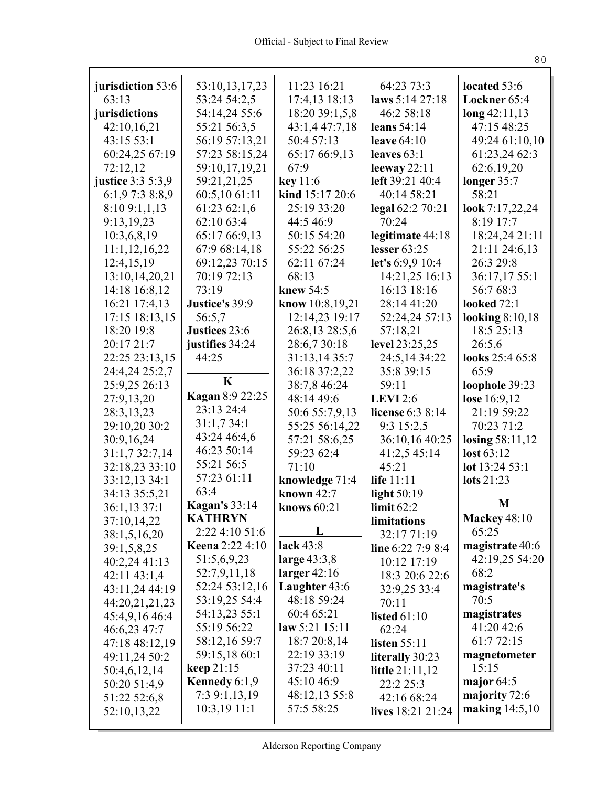| jurisdiction 53:6               | 53:10,13,17,23           | 11:23 16:21                    | 64:23 73:3                  | located 53:6              |
|---------------------------------|--------------------------|--------------------------------|-----------------------------|---------------------------|
| 63:13                           | 53:24 54:2,5             | 17:4,13 18:13                  | laws 5:14 27:18             | Lockner 65:4              |
| jurisdictions                   | 54:14,24 55:6            | 18:20 39:1,5,8                 | 46:2 58:18                  | $\log 42:11,13$           |
| 42:10,16,21                     | 55:21 56:3,5             | 43:1,4 47:7,18                 | leans $54:14$               | 47:15 48:25               |
| 43:15 53:1                      | 56:19 57:13,21           | 50:4 57:13                     | leave $64:10$               | 49:24 61:10,10            |
| 60:24,25 67:19                  | 57:23 58:15,24           | 65:17 66:9,13                  | leaves $63:1$               | 61:23,24 62:3             |
| 72:12,12                        | 59:10,17,19,21           | 67:9                           | leeway $22:11$              | 62:6,19,20                |
| <b>justice</b> 3:3 5:3,9        | 59:21,21,25              | key 11:6                       | left 39:21 40:4             | longer 35:7               |
| 6:1,97:38:8,9                   | 60:5,10 61:11            | kind 15:17 20:6                | 40:14 58:21                 | 58:21                     |
| 8:109:1,1,13                    | 61:23 62:1,6             | 25:19 33:20                    | legal 62:2 70:21            | look 7:17,22,24           |
| 9:13,19,23                      | 62:10 63:4               | 44:5 46:9                      | 70:24                       | 8:19 17:7                 |
| 10:3,6,8,19                     | 65:17 66:9,13            | 50:15 54:20                    | legitimate 44:18            | 18:24,24 21:11            |
| 11:1,12,16,22                   | 67:9 68:14,18            | 55:22 56:25                    | lesser $63:25$              | 21:11 24:6,13             |
| 12:4,15,19                      | 69:12,23 70:15           | 62:11 67:24                    | let's 6:9,9 10:4            | 26:3 29:8                 |
| 13:10,14,20,21                  | 70:19 72:13              | 68:13                          | 14:21,25 16:13              | 36:17,17 55:1             |
| 14:18 16:8,12                   | 73:19                    | knew 54:5                      | 16:13 18:16                 | 56:7 68:3                 |
| 16:21 17:4,13                   | Justice's 39:9           | know 10:8,19,21                | 28:14 41:20                 | <b>looked</b> 72:1        |
| 17:15 18:13,15                  | 56:5,7                   | 12:14,23 19:17                 | 52:24,24 57:13              | looking $8:10,18$         |
| 18:20 19:8                      | Justices 23:6            | 26:8,13 28:5,6                 | 57:18,21                    | 18:5 25:13                |
| 20:17 21:7                      | justifies 34:24<br>44:25 | 28:6,730:18                    | level 23:25,25              | 26:5,6<br>looks 25:4 65:8 |
| 22:25 23:13,15                  |                          | 31:13,14 35:7<br>36:18 37:2,22 | 24:5,14 34:22<br>35:8 39:15 | 65:9                      |
| 24:4,24 25:2,7<br>25:9,25 26:13 | K                        | 38:7,8 46:24                   | 59:11                       | loophole 39:23            |
| 27:9,13,20                      | Kagan 8:9 22:25          | 48:14 49:6                     | <b>LEVI</b> 2:6             | lose 16:9,12              |
| 28:3, 13, 23                    | 23:13 24:4               | 50:6 55:7,9,13                 | license 6:3 8:14            | 21:19 59:22               |
| 29:10,20 30:2                   | 31:1,734:1               | 55:25 56:14,22                 | 9:3 15:2,5                  | 70:23 71:2                |
| 30:9,16,24                      | 43:24 46:4,6             | 57:21 58:6,25                  | 36:10,16 40:25              | losing 58:11,12           |
| 31:1,7 32:7,14                  | 46:23 50:14              | 59:23 62:4                     | 41:2,5 45:14                | lost 63:12                |
| 32:18,23 33:10                  | 55:21 56:5               | 71:10                          | 45:21                       | lot 13:24 53:1            |
| 33:12,13 34:1                   | 57:23 61:11              | knowledge 71:4                 | life 11:11                  | lots 21:23                |
| 34:13 35:5,21                   | 63:4                     | known $42:7$                   | light $50:19$               |                           |
| 36:1,13 37:1                    | <b>Kagan's</b> 33:14     | knows 60:21                    | limit $62:2$                | M                         |
| 37:10,14,22                     | KATHRYN                  |                                | limitations                 | <b>Mackey 48:10</b>       |
| 38:1,5,16,20                    | 2:22 4:10 51:6           | L                              | 32:17 71:19                 | 65:25                     |
| 39:1,5,8,25                     | <b>Keena</b> 2:22 4:10   | lack 43:8                      | line 6:22 7:9 8:4           | magistrate 40:6           |
| 40:2,24 41:13                   | 51:5,6,9,23              | large $43:3,8$                 | 10:12 17:19                 | 42:19,25 54:20            |
| 42:11 43:1,4                    | 52:7,9,11,18             | larger $42:16$                 | 18:3 20:6 22:6              | 68:2                      |
| 43:11,24 44:19                  | 52:24 53:12,16           | Laughter 43:6                  | 32:9,25 33:4                | magistrate's              |
| 44:20,21,21,23                  | 53:19,25 54:4            | 48:18 59:24                    | 70:11                       | 70:5                      |
| 45:4,9,16 46:4                  | 54:13,23 55:1            | 60:4 65:21                     | listed $61:10$              | magistrates               |
| 46:6,23 47:7                    | 55:19 56:22              | law $5:21$ 15:11               | 62:24                       | 41:20 42:6                |
| 47:18 48:12,19                  | 58:12,16 59:7            | 18:7 20:8,14                   | <b>listen</b> 55:11         | 61:7 72:15                |
| 49:11,24 50:2                   | 59:15,18 60:1            | 22:19 33:19                    | literally 30:23             | magnetometer              |
| 50:4,6,12,14                    | keep $21:15$             | 37:23 40:11                    | <b>little</b> $21:11,12$    | 15:15                     |
| 50:20 51:4,9                    | Kennedy $6:1,9$          | 45:10 46:9                     | 22:2 25:3                   | major $64:5$              |
| 51:22 52:6,8                    | 7:3 9:1,13,19            | 48:12,13 55:8                  | 42:16 68:24                 | majority 72:6             |
| 52:10,13,22                     | 10:3,191:1               | 57:5 58:25                     | lives 18:21 21:24           | making 14:5,10            |
|                                 |                          |                                |                             |                           |

 $8\,0$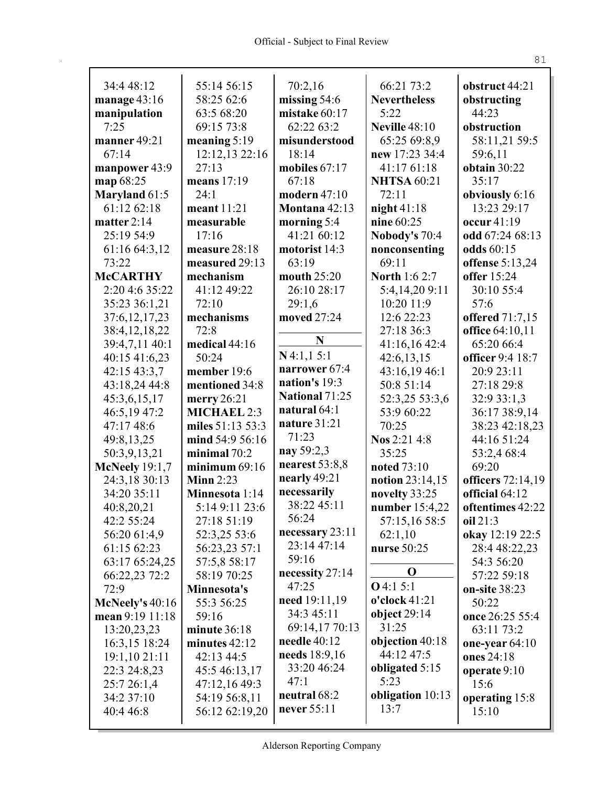| 34:4 48:12                                | 55:14 56:15                 | 70:2,16                    | 66:21 73:2           | obstruct 44:21               |
|-------------------------------------------|-----------------------------|----------------------------|----------------------|------------------------------|
| manage $43:16$                            | 58:25 62:6                  | missing $54:6$             | <b>Nevertheless</b>  | obstructing                  |
| manipulation                              | 63:5 68:20                  | mistake 60:17              | 5:22                 | 44:23                        |
| 7:25                                      | 69:15 73:8                  | 62:22 63:2                 | <b>Neville 48:10</b> | obstruction                  |
| manner 49:21                              | meaning $5:19$              | misunderstood              | 65:25 69:8,9         | 58:11,21 59:5                |
| 67:14                                     | 12:12,13 22:16              | 18:14                      | new 17:23 34:4       | 59:6,11                      |
| manpower 43:9                             | 27:13                       | mobiles $67:17$            | 41:17 61:18          | obtain 30:22                 |
| map 68:25                                 | means $17:19$               | 67:18                      | <b>NHTSA 60:21</b>   | 35:17                        |
| <b>Maryland 61:5</b>                      | 24:1                        | modern 47:10               | 72:11                | obviously 6:16               |
| 61:12 62:18                               | meant 11:21                 | Montana 42:13              | night $41:18$        | 13:23 29:17                  |
| matter $2:14$                             | measurable                  | morning $5:4$              | nine 60:25           | occur 41:19                  |
| 25:19 54:9                                | 17:16                       | 41:21 60:12                | Nobody's 70:4        | odd 67:24 68:13              |
| 61:16 64:3,12                             | measure 28:18               | motorist 14:3              | nonconsenting        | odds 60:15                   |
| 73:22                                     | measured 29:13              | 63:19                      | 69:11                | offense 5:13,24              |
| <b>McCARTHY</b>                           | mechanism                   | mouth 25:20                | <b>North 1:6 2:7</b> | <b>offer</b> 15:24           |
| 2:20 4:6 35:22                            | 41:12 49:22                 | 26:10 28:17                | 5:4,14,209:11        | 30:10 55:4                   |
| 35:23 36:1,21                             | 72:10                       | 29:1,6                     | 10:20 11:9           | 57:6                         |
| 37:6, 12, 17, 23                          | mechanisms                  | moved 27:24                | 12:6 22:23           | offered 71:7,15              |
| 38:4, 12, 18, 22                          | 72:8                        |                            | 27:18 36:3           | office 64:10,11              |
| 39:4,7,11 40:1                            | medical 44:16               | N                          | 41:16,16 42:4        | 65:20 66:4                   |
| 40:15 41:6,23                             | 50:24                       | N4:1,15:1                  | 42:6,13,15           | officer 9:4 18:7             |
| 42:15 43:3,7                              | member 19:6                 | narrower 67:4              | 43:16,19 46:1        | 20:9 23:11                   |
| 43:18,24 44:8                             | mentioned 34:8              | nation's 19:3              | 50:8 51:14           | 27:18 29:8                   |
| 45:3,6,15,17                              | merry $26:21$               | <b>National 71:25</b>      | 52:3,25 53:3,6       | 32:9 33:1,3                  |
| 46:5,19 47:2                              | <b>MICHAEL 2:3</b>          | natural 64:1               | 53:9 60:22           | 36:17 38:9,14                |
| 47:17 48:6                                | miles 51:13 53:3            | nature 31:21               | 70:25                | 38:23 42:18,23               |
| 49:8,13,25                                | mind 54:9 56:16             | 71:23                      | Nos 2:21 4:8         | 44:16 51:24                  |
| 50:3,9,13,21                              | minimal $70:2$              | nay 59:2,3                 | 35:25                | 53:2,4 68:4                  |
| <b>McNeely</b> 19:1,7                     | minimum $69:16$             | nearest $53:8,8$           | noted 73:10          | 69:20                        |
| 24:3,18 30:13                             | Minn $2:23$                 | nearly 49:21               | notion 23:14,15      | officers 72:14,19            |
| 34:20 35:11                               | Minnesota 1:14              | necessarily<br>38:22 45:11 | novelty 33:25        | official 64:12               |
| 40:8,20,21                                | 5:14 9:11 23:6              | 56:24                      | number 15:4,22       | oftentimes 42:22             |
| 42:2 55:24                                | 27:18 51:19                 | necessary $23:11$          | 57:15,16 58:5        | oil 21:3                     |
| 56:20 61:4,9                              | 52:3,25 53:6                | 23:14 47:14                | 62:1,10              | okay 12:19 22:5              |
| 61:15 62:23                               | 56:23,23 57:1               | 59:16                      | nurse 50:25          | 28:4 48:22,23                |
| 63:17 65:24,25                            | 57:5,8 58:17<br>58:19 70:25 | necessity 27:14            | $\mathbf 0$          | 54:3 56:20                   |
| 66:22,23 72:2<br>72:9                     |                             | 47:25                      | $O$ 4:1 5:1          | 57:22 59:18<br>on-site 38:23 |
|                                           | Minnesota's<br>55:3 56:25   | need 19:11,19              | $o'clock$ 41:21      | 50:22                        |
| <b>McNeely's 40:16</b><br>mean 9:19 11:18 | 59:16                       | 34:3 45:11                 | object $29:14$       | once 26:25 55:4              |
| 13:20,23,23                               | minute 36:18                | 69:14,17 70:13             | 31:25                | 63:11 73:2                   |
| 16:3,15 18:24                             | minutes $42:12$             | needle $40:12$             | objection 40:18      | one-year $64:10$             |
| 19:1,10 21:11                             | 42:13 44:5                  | needs 18:9,16              | 44:12 47:5           | ones 24:18                   |
| 22:3 24:8,23                              | 45:5 46:13,17               | 33:20 46:24                | obligated 5:15       | operate $9:10$               |
| 25:7 26:1,4                               | 47:12,16 49:3               | 47:1                       | 5:23                 | 15:6                         |
| 34:2 37:10                                | 54:19 56:8,11               | neutral 68:2               | obligation 10:13     | operating 15:8               |
| 40:4 46:8                                 | 56:12 62:19,20              | never 55:11                | 13:7                 | 15:10                        |
|                                           |                             |                            |                      |                              |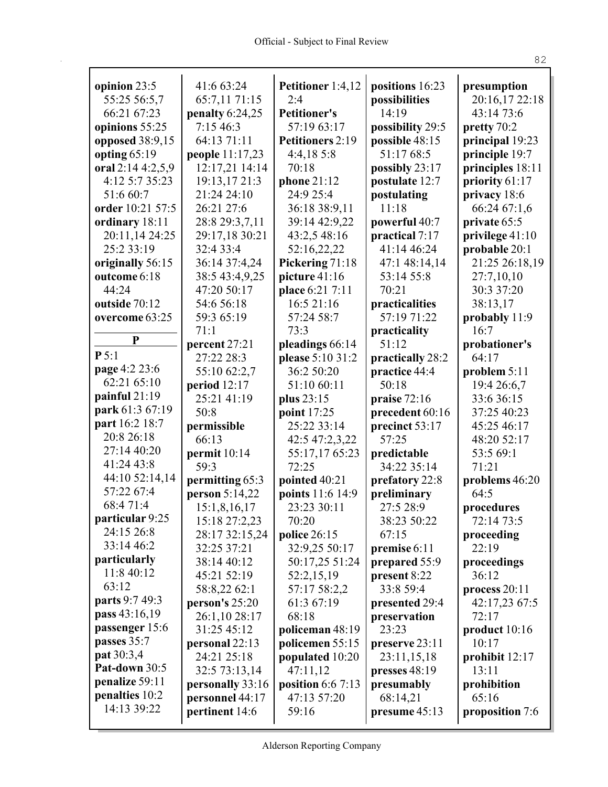$\mathbf{r}$ 

| opinion 23:5      | 41:6 63:24        | Petitioner 1:4,12   | positions 16:23  | presumption      |
|-------------------|-------------------|---------------------|------------------|------------------|
| 55:25 56:5,7      | 65:7,11 71:15     | 2:4                 | possibilities    | 20:16,17 22:18   |
| 66:21 67:23       | penalty $6:24,25$ | <b>Petitioner's</b> | 14:19            | 43:14 73:6       |
| opinions 55:25    | 7:1546:3          | 57:19 63:17         | possibility 29:5 | pretty 70:2      |
| opposed 38:9,15   | 64:13 71:11       | Petitioners 2:19    | possible 48:15   | principal 19:23  |
| opting $65:19$    | people 11:17,23   | 4:4,185:8           | 51:17 68:5       | principle 19:7   |
| oral 2:14 4:2,5,9 | 12:17,21 14:14    | 70:18               | possibly 23:17   | principles 18:11 |
| 4:12 5:7 35:23    | 19:13,17 21:3     | phone 21:12         | postulate 12:7   | priority 61:17   |
| 51:6 60:7         | 21:24 24:10       | 24:9 25:4           | postulating      | privacy 18:6     |
| order 10:21 57:5  | 26:21 27:6        | 36:18 38:9,11       | 11:18            | 66:24 67:1,6     |
| ordinary 18:11    | 28:8 29:3,7,11    | 39:14 42:9,22       | powerful 40:7    | private 65:5     |
| 20:11,14 24:25    | 29:17,18 30:21    | 43:2,5 48:16        | practical 7:17   | privilege 41:10  |
| 25:2 33:19        | 32:4 33:4         | 52:16,22,22         | 41:14 46:24      | probable 20:1    |
| originally 56:15  | 36:14 37:4,24     | Pickering 71:18     | 47:1 48:14,14    | 21:25 26:18,19   |
| outcome 6:18      | 38:5 43:4,9,25    | picture 41:16       | 53:14 55:8       | 27:7,10,10       |
| 44:24             | 47:20 50:17       | place 6:21 7:11     | 70:21            | 30:3 37:20       |
| outside 70:12     | 54:6 56:18        | 16:5 21:16          | practicalities   | 38:13,17         |
| overcome 63:25    | 59:3 65:19        | 57:24 58:7          | 57:19 71:22      | probably 11:9    |
|                   | 71:1              | 73:3                | practicality     | 16:7             |
| P                 | percent 27:21     | pleadings 66:14     | 51:12            | probationer's    |
| P 5:1             | 27:22 28:3        | please 5:10 31:2    | practically 28:2 | 64:17            |
| page 4:2 23:6     | 55:10 62:2,7      | 36:2 50:20          | practice 44:4    | problem $5:11$   |
| 62:21 65:10       | period 12:17      | 51:10 60:11         | 50:18            | 19:4 26:6,7      |
| painful $21:19$   | 25:21 41:19       |                     |                  | 33:6 36:15       |
| park 61:3 67:19   |                   | plus 23:15          | praise $72:16$   |                  |
| part 16:2 18:7    | 50:8              | point 17:25         | precedent 60:16  | 37:25 40:23      |
| 20:8 26:18        | permissible       | 25:22 33:14         | precinct 53:17   | 45:25 46:17      |
| 27:14 40:20       | 66:13             | 42:5 47:2,3,22      | 57:25            | 48:20 52:17      |
| 41:24 43:8        | permit 10:14      | 55:17,17 65:23      | predictable      | 53:5 69:1        |
|                   | 59:3              | 72:25               | 34:22 35:14      | 71:21            |
| 44:10 52:14,14    | permitting 65:3   | pointed 40:21       | prefatory 22:8   | problems 46:20   |
| 57:22 67:4        | person 5:14,22    | points 11:6 14:9    | preliminary      | 64:5             |
| 68:4 71:4         | 15:1,8,16,17      | 23:23 30:11         | 27:5 28:9        | procedures       |
| particular 9:25   | 15:18 27:2,23     | 70:20               | 38:23 50:22      | 72:14 73:5       |
| 24:15 26:8        | 28:17 32:15,24    | police 26:15        | 67:15            | proceeding       |
| 33:14 46:2        | 32:25 37:21       | 32:9,25 50:17       | premise 6:11     | 22:19            |
| particularly      | 38:14 40:12       | 50:17,25 51:24      | prepared 55:9    | proceedings      |
| 11:8 40:12        | 45:21 52:19       | 52:2,15,19          | present 8:22     | 36:12            |
| 63:12             | 58:8,22 62:1      | 57:17 58:2,2        | 33:8 59:4        | process 20:11    |
| parts 9:7 49:3    | person's 25:20    | 61:3 67:19          | presented 29:4   | 42:17,23 67:5    |
| pass 43:16,19     | 26:1,10 28:17     | 68:18               | preservation     | 72:17            |
| passenger 15:6    | 31:25 45:12       | policeman 48:19     | 23:23            | product 10:16    |
| passes 35:7       | personal 22:13    | policemen 55:15     | preserve 23:11   | 10:17            |
| pat 30:3,4        | 24:21 25:18       | populated 10:20     | 23:11,15,18      | prohibit $12:17$ |
| Pat-down 30:5     | 32:5 73:13,14     | 47:11,12            | presses $48:19$  | 13:11            |
| penalize 59:11    | personally 33:16  | position $6:67:13$  | presumably       | prohibition      |
| penalties 10:2    | personnel 44:17   | 47:13 57:20         | 68:14,21         | 65:16            |
| 14:13 39:22       | pertinent 14:6    | 59:16               | presume 45:13    | proposition 7:6  |
|                   |                   |                     |                  |                  |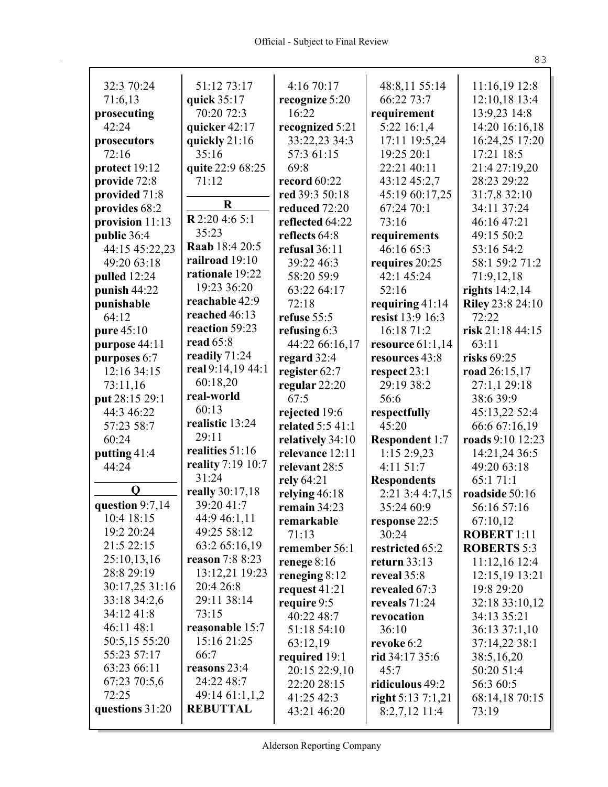| 32:3 70:24                  | 51:12 73:17                | 4:16 70:17       |                             | 11:16,19 12:8      |
|-----------------------------|----------------------------|------------------|-----------------------------|--------------------|
| 71:6,13                     | quick 35:17                | recognize 5:20   | 48:8,11 55:14<br>66:22 73:7 | 12:10,18 13:4      |
| prosecuting                 | 70:20 72:3                 | 16:22            | requirement                 | 13:9,23 14:8       |
| 42:24                       | quicker 42:17              | recognized 5:21  | 5:22 16:1,4                 | 14:20 16:16,18     |
| prosecutors                 | quickly 21:16              | 33:22,23 34:3    | 17:11 19:5,24               | 16:24,25 17:20     |
| 72:16                       | 35:16                      | 57:3 61:15       | 19:25 20:1                  | 17:21 18:5         |
| protect 19:12               | quite 22:9 68:25           | 69:8             | 22:21 40:11                 | 21:4 27:19,20      |
| provide 72:8                | 71:12                      | record 60:22     | 43:12 45:2,7                | 28:23 29:22        |
| provided 71:8               |                            | red 39:3 50:18   | 45:19 60:17,25              | 31:7,8 32:10       |
| provides 68:2               | $\bf R$                    | reduced 72:20    | 67:24 70:1                  | 34:11 37:24        |
| provision $11:13$           | $R$ 2:20 4:6 5:1           | reflected 64:22  | 73:16                       | 46:16 47:21        |
| public 36:4                 | 35:23                      | reflects 64:8    | requirements                | 49:15 50:2         |
| 44:15 45:22,23              | Raab 18:4 20:5             | refusal 36:11    | 46:16 65:3                  | 53:16 54:2         |
| 49:20 63:18                 | railroad 19:10             | 39:22 46:3       | requires 20:25              | 58:1 59:2 71:2     |
| pulled 12:24                | rationale 19:22            | 58:20 59:9       | 42:1 45:24                  | 71:9,12,18         |
| punish 44:22                | 19:23 36:20                | 63:22 64:17      | 52:16                       | rights $14:2,14$   |
| punishable                  | reachable 42:9             | 72:18            | requiring $41:14$           | Riley 23:8 24:10   |
| 64:12                       | reached 46:13              | refuse 55:5      | resist 13:9 16:3            | 72:22              |
| pure 45:10                  | reaction 59:23             | refusing $6:3$   | 16:18 71:2                  | risk 21:18 44:15   |
| purpose 44:11               | read 65:8                  | 44:22 66:16,17   | resource $61:1,14$          | 63:11              |
| purposes 6:7                | readily 71:24              | regard 32:4      | resources 43:8              | risks 69:25        |
| 12:16 34:15                 | real 9:14,19 44:1          | register 62:7    | respect 23:1                | road 26:15,17      |
| 73:11,16                    | 60:18,20                   | regular 22:20    | 29:19 38:2                  | 27:1,1 29:18       |
| put 28:15 29:1              | real-world                 | 67:5             | 56:6                        | 38:639:9           |
| 44:3 46:22                  | 60:13                      | rejected 19:6    | respectfully                | 45:13,22 52:4      |
| 57:23 58:7                  | realistic 13:24            | related 5:5 41:1 | 45:20                       | 66:6 67:16,19      |
| 60:24                       | 29:11                      | relatively 34:10 | <b>Respondent 1:7</b>       | roads 9:10 12:23   |
| putting 41:4                | realities 51:16            | relevance 12:11  | 1:152:9,23                  | 14:21,24 36:5      |
| 44:24                       | reality 7:19 10:7          | relevant 28:5    | 4:11 51:7                   | 49:20 63:18        |
|                             | 31:24                      | rely 64:21       | <b>Respondents</b>          | 65:171:1           |
| O                           | really 30:17,18            | relying 46:18    | 2:21 3:4 4:7,15             | roadside 50:16     |
| question 9:7,14             | 39:20 41:7                 | remain 34:23     | 35:24 60:9                  | 56:16 57:16        |
| 10:4 18:15                  | 44:9 46:1,11               | remarkable       | response 22:5               | 67:10,12           |
| 19:2 20:24                  | 49:25 58:12                | 71:13            | 30:24                       | <b>ROBERT 1:11</b> |
| 21:5 22:15                  | 63:2 65:16,19              | remember 56:1    | restricted 65:2             | <b>ROBERTS 5:3</b> |
| 25:10,13,16                 | reason 7:8 8:23            | renege $8:16$    | return $33:13$              | 11:12,16 12:4      |
| 28:8 29:19                  | 13:12,21 19:23             | reneging $8:12$  | reveal 35:8                 | 12:15,19 13:21     |
| 30:17,25 31:16              | 20:4 26:8                  | request $41:21$  | revealed 67:3               | 19:8 29:20         |
| 33:18 34:2,6                | 29:11 38:14                | require 9:5      | reveals $71:24$             | 32:18 33:10,12     |
| 34:12 41:8                  | 73:15                      | 40:22 48:7       | revocation                  | 34:13 35:21        |
| 46:11 48:1                  | reasonable 15:7            | 51:18 54:10      | 36:10                       | 36:13 37:1,10      |
| 50:5,15 55:20               | 15:16 21:25                | 63:12,19         | revoke 6:2                  | 37:14,22 38:1      |
| 55:23 57:17                 | 66:7                       | required 19:1    | rid $34:1735:6$             | 38:5,16,20         |
| 63:23 66:11<br>67:23 70:5,6 | reasons 23:4<br>24:22 48:7 | 20:15 22:9,10    | 45:7                        | 50:20 51:4         |
| 72:25                       | 49:14 61:1,1,2             | 22:20 28:15      | ridiculous 49:2             | 56:3 60:5          |
| questions 31:20             | <b>REBUTTAL</b>            | 41:25 42:3       | right $5:137:1,21$          | 68:14,18 70:15     |
|                             |                            | 43:21 46:20      | $8:2,7,12$ 11:4             | 73:19              |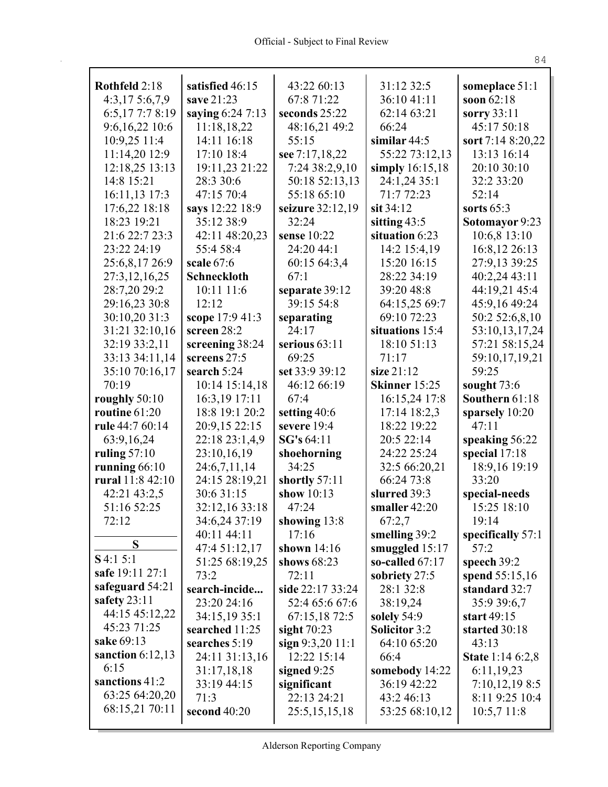| Rothfeld 2:18      | satisfied 46:15              | 43:22 60:13                   | 31:12 32:5                        | someplace 51:1              |
|--------------------|------------------------------|-------------------------------|-----------------------------------|-----------------------------|
| 4:3,175:6,7,9      | save 21:23                   | 67:8 71:22                    | 36:10 41:11                       | soon $62:18$                |
| 6:5,177:78:19      | saying 6:24 7:13             | seconds 25:22                 | 62:14 63:21                       | sorry $33:11$               |
| 9:6,16,22 10:6     | 11:18,18,22                  | 48:16,21 49:2                 | 66:24                             | 45:17 50:18                 |
| 10:9,25 11:4       | 14:11 16:18                  | 55:15                         | similar $44:5$                    | sort 7:14 8:20,22           |
| 11:14,20 12:9      | 17:10 18:4                   | see 7:17,18,22                | 55:22 73:12,13                    | 13:13 16:14                 |
| 12:18,25 13:13     | 19:11,23 21:22               | 7:24 38:2,9,10                | simply $16:15,18$                 | 20:10 30:10                 |
| 14:8 15:21         | 28:3 30:6                    | 50:18 52:13,13                | 24:1,24 35:1                      | 32:2 33:20                  |
| 16:11,13 17:3      | 47:15 70:4                   | 55:18 65:10                   | 71:7 72:23                        | 52:14                       |
| 17:6,22 18:18      | says 12:22 18:9              | seizure 32:12,19              | $\sin 34:12$                      | sorts $65:3$                |
| 18:23 19:21        | 35:12 38:9                   | 32:24                         | sitting $43:5$                    | Sotomayor 9:23              |
| 21:6 22:7 23:3     | 42:11 48:20,23               | sense $10:22$                 | situation 6:23                    | $10:6,8$ 13:10              |
| 23:22 24:19        | 55:4 58:4                    | 24:20 44:1                    | 14:2 15:4,19                      | 16:8,12 26:13               |
| 25:6,8,17 26:9     | scale $67:6$                 | 60:15 64:3,4                  | 15:20 16:15                       | 27:9,13 39:25               |
| 27:3,12,16,25      | <b>Schneckloth</b>           | 67:1                          | 28:22 34:19                       | 40:2,24 43:11               |
| 28:7,20 29:2       | 10:11 11:6                   | separate 39:12                | 39:20 48:8                        | 44:19,21 45:4               |
| 29:16,23 30:8      | 12:12                        | 39:15 54:8                    | 64:15,25 69:7                     | 45:9,16 49:24               |
| 30:10,20 31:3      | scope 17:9 41:3              | separating                    | 69:10 72:23                       | 50:2 52:6,8,10              |
| 31:21 32:10,16     | screen $28:2$                | 24:17                         | situations 15:4                   | 53:10,13,17,24              |
| 32:19 33:2,11      | screening 38:24              | serious $63:11$               | 18:10 51:13                       | 57:21 58:15,24              |
| 33:13 34:11,14     | screens 27:5                 | 69:25                         | 71:17                             | 59:10,17,19,21              |
| 35:10 70:16,17     | search 5:24                  | set 33:9 39:12                | size $21:12$                      | 59:25                       |
| 70:19              | 10:14 15:14,18               | 46:12 66:19                   | Skinner 15:25                     | sought $73:6$               |
| roughly 50:10      | 16:3,19 17:11                | 67:4                          | 16:15,24 17:8                     | Southern 61:18              |
| routine 61:20      | 18:8 19:1 20:2               | setting 40:6                  | 17:14 18:2,3                      | sparsely 10:20              |
| rule 44:7 60:14    | 20:9,15 22:15                | severe 19:4                   | 18:22 19:22                       | 47:11                       |
| 63:9,16,24         | 22:18 23:1,4,9               | SG's 64:11                    | 20:5 22:14                        | speaking 56:22              |
| ruling $57:10$     | 23:10,16,19                  | shoehorning                   | 24:22 25:24                       | special 17:18               |
| running 66:10      | 24:6,7,11,14                 | 34:25                         | 32:5 66:20,21                     | 18:9,16 19:19               |
| rural 11:8 42:10   | 24:15 28:19,21               | shortly 57:11<br>show $10:13$ | 66:24 73:8                        | 33:20                       |
| 42:21 43:2,5       | 30:6 31:15                   |                               | slurred 39:3                      | special-needs               |
| 51:16 52:25        | 32:12,16 33:18               | 47:24                         | smaller $42:20$                   | 15:25 18:10                 |
| 72:12              | 34:6,24 37:19<br>40:11 44:11 | showing 13:8<br>17:16         | 67:2,7                            | 19:14                       |
| S                  | 47:4 51:12,17                | shown $14:16$                 | smelling 39:2<br>smuggled $15:17$ | specifically $57:1$<br>57:2 |
| $S$ 4:1 5:1        | 51:25 68:19,25               | shows $68:23$                 | so-called $67:17$                 | speech $39:2$               |
| safe 19:11 27:1    | 73:2                         | 72:11                         | sobriety 27:5                     | spend 55:15,16              |
| safeguard 54:21    | search-incide                | side 22:17 33:24              | 28:1 32:8                         | standard 32:7               |
| safety $23:11$     | 23:20 24:16                  | 52:4 65:6 67:6                | 38:19,24                          | 35:9 39:6,7                 |
| 44:15 45:12,22     | 34:15,19 35:1                | 67:15,18 72:5                 | solely 54:9                       | start 49:15                 |
| 45:23 71:25        | searched 11:25               | sight $70:23$                 | <b>Solicitor 3:2</b>              | started 30:18               |
| sake 69:13         | searches 5:19                | sign $9:3,20$ 11:1            | 64:10 65:20                       | 43:13                       |
| sanction $6:12,13$ | 24:11 31:13,16               | 12:22 15:14                   | 66:4                              | <b>State</b> 1:14 6:2,8     |
| 6:15               | 31:17,18,18                  | signed $9:25$                 | somebody 14:22                    | 6:11,19,23                  |
| sanctions 41:2     | 33:19 44:15                  | significant                   | 36:19 42:22                       | 7:10,12,198:5               |
| 63:25 64:20,20     | 71:3                         | 22:13 24:21                   | 43:2 46:13                        | 8:11 9:25 10:4              |
| 68:15,21 70:11     | second $40:20$               | 25:5,15,15,18                 | 53:25 68:10,12                    | 10:5,711:8                  |
|                    |                              |                               |                                   |                             |

Alderson Reporting Company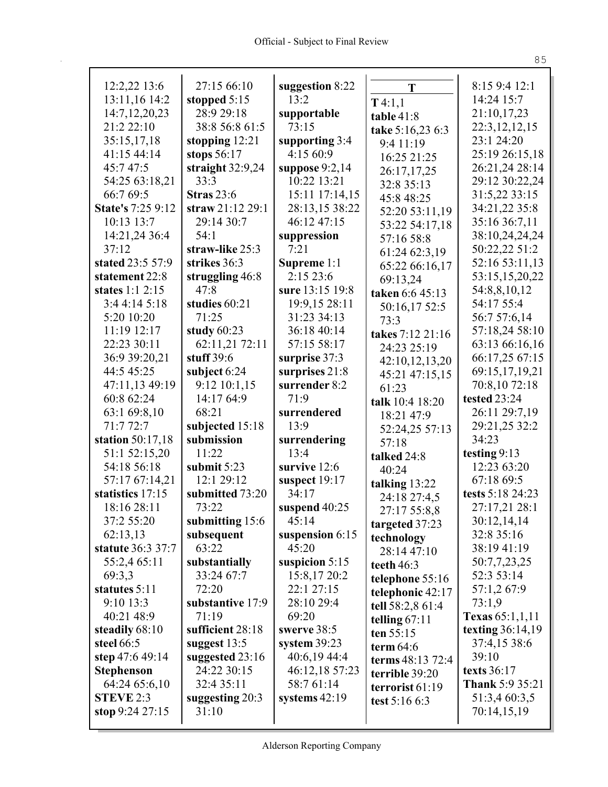T

|                                | 27:15 66:10                    | suggestion 8:22      | T                | 8:15 9:4 12:1                |
|--------------------------------|--------------------------------|----------------------|------------------|------------------------------|
| 12:2,22 13:6<br>13:11,16 14:2  | stopped $5:15$                 | 13:2                 |                  | 14:24 15:7                   |
| 14:7, 12, 20, 23               | 28:9 29:18                     | supportable          | T4:1,1           | 21:10,17,23                  |
| 21:222:10                      | 38:8 56:8 61:5                 | 73:15                | table 41:8       | 22:3, 12, 12, 15             |
| 35:15,17,18                    | stopping $12:21$               | supporting $3:4$     | take 5:16,23 6:3 | 23:1 24:20                   |
| 41:15 44:14                    | stops $56:17$                  | 4:15 60:9            | 9:4 11:19        | 25:19 26:15,18               |
| 45:747:5                       | straight $32:9,24$             | suppose $9:2,14$     | 16:25 21:25      | 26:21,24 28:14               |
| 54:25 63:18,21                 | 33:3                           | 10:22 13:21          | 26:17,17,25      | 29:12 30:22,24               |
| 66:7 69:5                      | <b>Stras</b> 23:6              | 15:11 17:14,15       | 32:8 35:13       | 31:5,22 33:15                |
| <b>State's 7:25 9:12</b>       | straw 21:12 29:1               | 28:13,15 38:22       | 45:8 48:25       | 34:21,22 35:8                |
| 10:13 13:7                     | 29:14 30:7                     | 46:12 47:15          | 52:20 53:11,19   | 35:16 36:7,11                |
| 14:21,24 36:4                  | 54:1                           |                      | 53:22 54:17,18   | 38:10,24,24,24               |
| 37:12                          | straw-like 25:3                | suppression<br>7:21  | 57:16 58:8       | 50:22,22 51:2                |
| stated 23:5 57:9               | strikes 36:3                   | Supreme 1:1          | 61:24 62:3,19    | 52:16 53:11,13               |
| statement 22:8                 | struggling 46:8                | 2:15 23:6            | 65:22 66:16,17   | 53:15,15,20,22               |
| states $1:1$ 2:15              | 47:8                           | sure 13:15 19:8      | 69:13,24         |                              |
| 3:44:145:18                    | studies 60:21                  | 19:9,15 28:11        | taken 6:6 45:13  | 54:8,8,10,12<br>54:17 55:4   |
| 5:20 10:20                     | 71:25                          | 31:23 34:13          | 50:16,17 52:5    |                              |
| $11:19$ 12:17                  |                                | 36:18 40:14          | 73:3             | 56:7 57:6,14                 |
| 22:23 30:11                    | study $60:23$                  | 57:15 58:17          | takes 7:12 21:16 | 57:18,24 58:10               |
| 36:9 39:20.21                  | 62:11,21 72:11<br>stuff $39:6$ |                      | 24:23 25:19      | 63:13 66:16,16               |
|                                |                                | surprise 37:3        | 42:10,12,13,20   | 66:17,25 67:15               |
| 44:5 45:25                     | subject 6:24                   | surprises 21:8       | 45:21 47:15,15   | 69:15,17,19,21               |
| 47:11,13 49:19                 | $9:12$ $10:1,15$               | surrender 8:2        | 61:23            | 70:8,10 72:18                |
| 60:8 62:24                     | 14:17 64:9                     | 71:9                 | talk 10:4 18:20  | tested 23:24                 |
| 63:1 69:8,10                   | 68:21                          | surrendered          | 18:21 47:9       | 26:11 29:7,19                |
| 71:772:7                       | subjected 15:18<br>submission  | 13:9                 | 52:24,25 57:13   | 29:21,25 32:2                |
| station 50:17,18               |                                | surrendering         | 57:18            | 34:23                        |
| 51:1 52:15,20<br>54:18 56:18   | 11:22<br>submit $5:23$         | 13:4<br>survive 12:6 | talked 24:8      | testing $9:13$               |
| 57:17 67:14,21                 |                                |                      |                  |                              |
|                                |                                |                      | 40:24            | 12:23 63:20                  |
|                                | 12:1 29:12                     | suspect 19:17        | talking $13:22$  | 67:18 69:5                   |
| statistics 17:15               | submitted 73:20                | 34:17                | 24:18 27:4,5     | tests 5:18 24:23             |
| 18:16 28:11                    | 73:22                          | suspend 40:25        | 27:17 55:8,8     | 27:17,21 28:1                |
| 37:2 55:20                     | submitting 15:6                | 45:14                | targeted 37:23   | 30:12,14,14                  |
| 62:13,13                       | subsequent                     | suspension 6:15      | technology       | 32:8 35:16                   |
| <b>statute</b> 36:3 37:7       | 63:22                          | 45:20                | 28:14 47:10      | 38:19 41:19                  |
| 55:2,4 65:11                   | substantially                  | suspicion $5:15$     | teeth $46:3$     | 50:7,7,23,25                 |
| 69:3,3                         | 33:24 67:7                     | 15:8,17 20:2         | telephone 55:16  | 52:3 53:14                   |
| statutes 5:11                  | 72:20                          | 22:1 27:15           | telephonic 42:17 | 57:1,2 67:9                  |
| 9:10 13:3                      | substantive 17:9               | 28:10 29:4           | tell 58:2,8 61:4 | 73:1,9                       |
| 40:21 48:9                     | 71:19                          | 69:20                | telling $67:11$  | Texas $65:1,1,11$            |
| steadily 68:10                 | sufficient 28:18               | swerve 38:5          | ten $55:15$      | texting $36:14,19$           |
| steel 66:5                     | suggest $13:5$                 | system $39:23$       | term $64:6$      | 37:4,15 38:6                 |
| step 47:6 49:14                | suggested 23:16                | 40:6,19 44:4         | terms 48:13 72:4 | 39:10                        |
| <b>Stephenson</b>              | 24:22 30:15                    | 46:12,18 57:23       | terrible 39:20   | <b>texts</b> 36:17           |
| 64:24 65:6,10                  | 32:4 35:11                     | 58:7 61:14           | terrorist 61:19  | <b>Thank 5:9 35:21</b>       |
| STEVE 2:3<br>stop $9:24$ 27:15 | suggesting $20:3$<br>31:10     | systems $42:19$      | test 5:16 6:3    | 51:3,4 60:3,5<br>70:14,15,19 |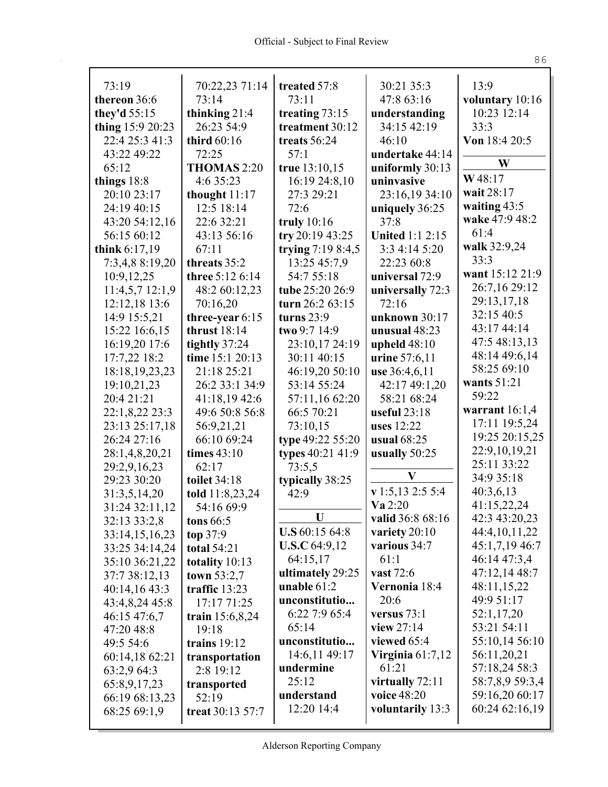| 73:19                           | 70:22,23 71:14                  | treated 57:8           | 30:21 35:3             | 13:9                     |
|---------------------------------|---------------------------------|------------------------|------------------------|--------------------------|
| thereon 36:6                    | 73:14                           | 73:11                  | 47:8 63:16             | voluntary 10:16          |
| they'd 55:15                    | thinking 21:4                   | treating 73:15         | understanding          | 10:23 12:14              |
| thing 15:9 20:23                | 26:23 54:9                      | treatment 30:12        | 34:15 42:19            | 33:3                     |
| 22:4 25:3 41:3                  | third 60:16                     | treats 56:24           | 46:10                  | Von 18:4 20:5            |
| 43:22 49:22                     | 72:25                           | 57:1                   | undertake 44:14        |                          |
| 65:12                           | THOMAS 2:20                     | true 13:10,15          | uniformly $30:13$      | W                        |
| things $18:8$                   | 4:6 35:23                       | 16:19 24:8,10          | uninvasive             | W48:17                   |
| 20:10 23:17                     | thought $11:17$                 | 27:3 29:21             | 23:16,19 34:10         | wait 28:17               |
| 24:19 40:15                     | 12:5 18:14                      | 72:6                   | uniquely 36:25         | waiting $43:5$           |
| 43:20 54:12,16                  | 22:6 32:21                      | truly $10:16$          | 37:8                   | wake 47:9 48:2           |
| 56:15 60:12                     | 43:13 56:16                     | try $20:1943:25$       | <b>United 1:1 2:15</b> | 61:4                     |
| think $6:17,19$                 | 67:11                           | trying 7:19 8:4,5      | 3:3 4:14 5:20          | walk 32:9,24             |
| 7:3,4,8 8:19,20                 | threats 35:2                    | 13:25 45:7,9           | 22:23 60:8             | 33:3                     |
| 10:9,12,25                      | three 5:12 6:14                 | 54:7 55:18             | universal 72:9         | want 15:12 21:9          |
| 11:4,5,712:1,9                  | 48:2 60:12,23                   | tube 25:20 26:9        | universally 72:3       | 26:7,16 29:12            |
| 12:12,18 13:6                   | 70:16,20                        | turn 26:2 63:15        | 72:16                  | 29:13,17,18              |
| 14:9 15:5,21                    | three-year $6:15$               | turns $23:9$           | unknown 30:17          | 32:15 40:5               |
| 15:22 16:6,15                   | thrust $18:14$                  | two 9:7 14:9           | unusual 48:23          | 43:17 44:14              |
| 16:19,20 17:6                   | tightly 37:24                   | 23:10,17 24:19         | upheld $48:10$         | 47:5 48:13,13            |
| 17:7,22 18:2                    | time 15:1 20:13                 | 30:11 40:15            | urine 57:6,11          | 48:14 49:6,14            |
| 18:18, 19, 23, 23               | 21:18 25:21                     | 46:19,20 50:10         | use 36:4,6,11          | 58:25 69:10              |
| 19:10,21,23                     | 26:2 33:1 34:9                  | 53:14 55:24            | 42:17 49:1,20          | wants 51:21              |
| 20:4 21:21                      | 41:18,19 42:6                   | 57:11,16 62:20         | 58:21 68:24            | 59:22                    |
| 22:1,8,22 23:3                  | 49:6 50:8 56:8                  | 66:5 70:21             | useful $23:18$         | warrant $16:1,4$         |
| 23:13 25:17,18                  | 56:9,21,21                      | 73:10,15               | <b>uses</b> 12:22      | 17:11 19:5,24            |
| 26:24 27:16                     | 66:10 69:24                     | type 49:22 55:20       | usual 68:25            | 19:25 20:15,25           |
| 28:1,4,8,20,21                  | times $43:10$                   | types 40:21 41:9       | usually 50:25          | 22:9, 10, 19, 21         |
| 29:2,9,16,23                    | 62:17                           | 73:5,5                 | $\bf V$                | 25:11 33:22              |
| 29:23 30:20                     | toilet 34:18                    | typically 38:25        | $v$ 1:5,13 2:5 5:4     | 34:9 35:18               |
| 31:3,5,14,20                    | told 11:8,23,24                 | 42:9                   | Va 2:20                | 40:3,6,13<br>41:15,22,24 |
| 31:24 32:11,12                  | 54:16 69:9                      | $\mathbf U$            | valid 36:8 68:16       | 42:3 43:20,23            |
| 32:13 33:2,8                    | <b>tons</b> 66:5                | <b>U.S</b> $60:1564:8$ | variety $20:10$        | 44:4, 10, 11, 22         |
| 33:14,15,16,23                  | top $37:9$                      | <b>U.S.C</b> 64:9,12   | various 34:7           | 45:1,7,19 46:7           |
| 33:25 34:14,24                  | <b>total 54:21</b>              | 64:15,17               | 61:1                   | 46:14 47:3,4             |
| 35:10 36:21,22<br>37:7 38:12,13 | totality 10:13<br>town $53:2,7$ | ultimately 29:25       | <b>vast</b> 72:6       | 47:12,14 48:7            |
| 40:14,16 43:3                   | traffic 13:23                   | unable $61:2$          | Vernonia 18:4          | 48:11,15,22              |
| 43:4,8,24 45:8                  | 17:17 71:25                     | unconstitutio          | 20:6                   | 49:9 51:17               |
| 46:15 47:6,7                    | train $15:6,8,24$               | 6:22 7:9 65:4          | versus 73:1            | 52:1,17,20               |
| 47:20 48:8                      | 19:18                           | 65:14                  | view $27:14$           | 53:21 54:11              |
| 49:5 54:6                       | trains $19:12$                  | unconstitutio          | viewed $65:4$          | 55:10,14 56:10           |
| 60:14,18 62:21                  | transportation                  | 14:6,11 49:17          | Virginia $61:7,12$     | 56:11,20,21              |
| 63:2,9 64:3                     | 2:8 19:12                       | undermine              | 61:21                  | 57:18,24 58:3            |
| 65:8,9,17,23                    | transported                     | 25:12                  | virtually 72:11        | 58:7,8,9 59:3,4          |
| 66:19 68:13,23                  | 52:19                           | understand             | voice 48:20            | 59:16,20 60:17           |
| 68:25 69:1,9                    | treat 30:13 57:7                | 12:20 14:4             | voluntarily 13:3       | 60:24 62:16,19           |
|                                 |                                 |                        |                        |                          |

Alderson Reporting Company